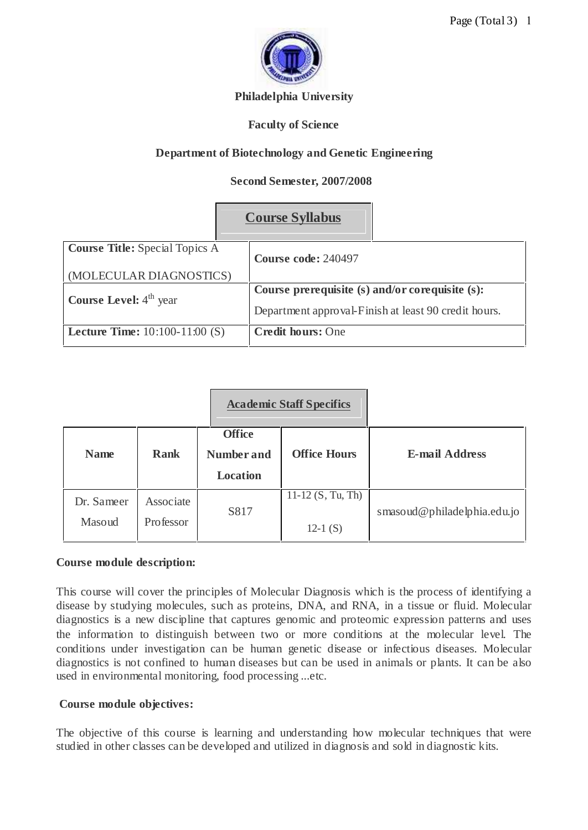

### **Philadelphia University**

### **Faculty of Science**

# **Department of Biotechnology and Genetic Engineering**

### **Second Semester, 2007/2008**

|                                         | <b>Course Syllabus</b>                               |  |
|-----------------------------------------|------------------------------------------------------|--|
| <b>Course Title:</b> Special Topics A   | Course code: 240497                                  |  |
| (MOLECULAR DIAGNOSTICS)                 |                                                      |  |
| <b>Course Level:</b> $4th$ year         | Course prerequisite (s) and/or corequisite (s):      |  |
|                                         | Department approval-Finish at least 90 credit hours. |  |
| <b>Lecture Time:</b> $10:100-11:00$ (S) | <b>Credit hours: One</b>                             |  |

|                      |                        | <b>Academic Staff Specifics</b>                       |                                   |                             |
|----------------------|------------------------|-------------------------------------------------------|-----------------------------------|-----------------------------|
| <b>Name</b>          | <b>Rank</b>            | <b>Office</b><br><b>Number and</b><br><b>Location</b> | <b>Office Hours</b>               | <b>E-mail Address</b>       |
| Dr. Sameer<br>Masoud | Associate<br>Professor | S817                                                  | $11-12$ (S, Tu, Th)<br>$12-1$ (S) | smasoud@philadelphia.edu.jo |

#### **Course module description:**

This course will cover the principles of Molecular Diagnosis which is the process of identifying a disease by studying molecules, such as proteins, DNA, and RNA, in a tissue or fluid. Molecular diagnostics is a new discipline that captures genomic and proteomic expression patterns and uses the information to distinguish between two or more conditions at the molecular level. The conditions under investigation can be human genetic disease or infectious diseases. Molecular diagnostics is not confined to human diseases but can be used in animals or plants. It can be also used in environmental monitoring, food processing ...etc.

## **Course module objectives:**

The objective of this course is learning and understanding how molecular techniques that were studied in other classes can be developed and utilized in diagnosis and sold in diagnostic kits.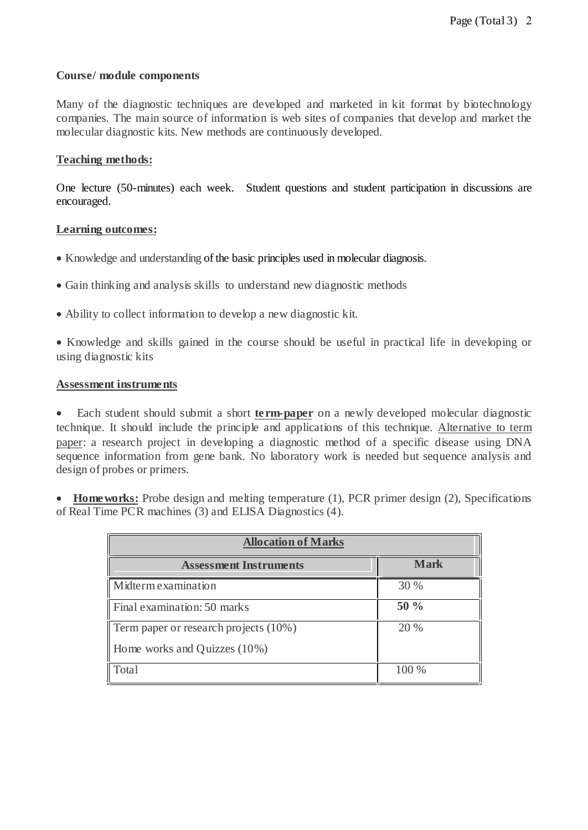#### **Course/ module components**

Many of the diagnostic techniques are developed and marketed in kit format by biotechnology companies. The main source of information is web sites of companies that develop and market the molecular diagnostic kits. New methods are continuously developed.

### **Teaching methods:**

One lecture (50-minutes) each week. Student questions and student participation in discussions are encouraged.

### **Learning outcomes:**

- Knowledge and understanding of the basic principles used in molecular diagnosis.
- Gain thinking and analysis skills to understand new diagnostic methods
- Ability to collect information to develop a new diagnostic kit.
- Knowledge and skills gained in the course should be useful in practical life in developing or using diagnostic kits

#### **Assessment instruments**

 Each student should submit a short **te rm-paper** on a newly developed molecular diagnostic technique. It should include the principle and applications of this technique. Alternative to term paper: a research project in developing a diagnostic method of a specific disease using DNA sequence information from gene bank. No laboratory work is needed but sequence analysis and design of probes or primers.

• Home works: Probe design and melting temperature (1), PCR primer design (2), Specifications of Real Time PCR machines (3) and ELISA Diagnostics (4).

| <b>Allocation of Marks</b>            |             |  |  |  |
|---------------------------------------|-------------|--|--|--|
| <b>Assessment Instruments</b>         | <b>Mark</b> |  |  |  |
| Midterm examination                   | 30 %        |  |  |  |
| Final examination: 50 marks           | $50\%$      |  |  |  |
| Term paper or research projects (10%) | 20 %        |  |  |  |
| Home works and Quizzes $(10\%)$       |             |  |  |  |
| Total                                 | 100 %       |  |  |  |